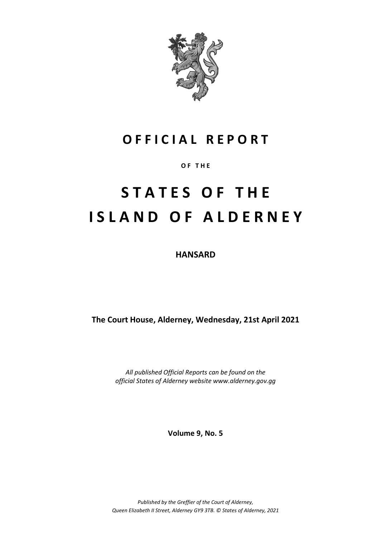

# **O F F I C I A L R E P O R T**

**O F T H E**

# **S T A T E S O F T H E I S L A N D O F A L D E R N E Y**

**HANSARD**

**The Court House, Alderney, Wednesday, 21st April 2021**

*All published Official Reports can be found on the official States of Alderney website www.alderney.gov.gg*

**Volume 9, No. 5**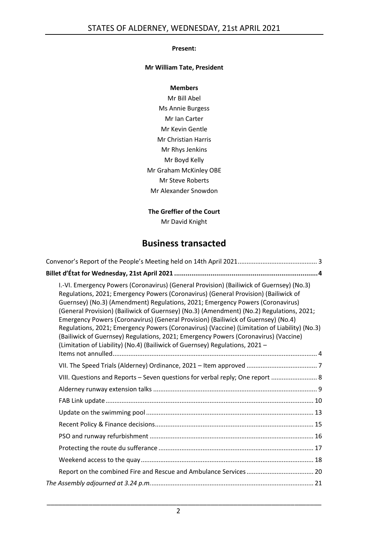#### **Present:**

#### **Mr William Tate, President**

#### **Members**

Mr Bill Abel Ms Annie Burgess Mr Ian Carter Mr Kevin Gentle Mr Christian Harris Mr Rhys Jenkins Mr Boyd Kelly Mr Graham McKinley OBE Mr Steve Roberts Mr Alexander Snowdon

#### **The Greffier of the Court**

Mr David Knight

## **Business transacted**

| I.-VI. Emergency Powers (Coronavirus) (General Provision) (Bailiwick of Guernsey) (No.3)<br>Regulations, 2021; Emergency Powers (Coronavirus) (General Provision) (Bailiwick of<br>Guernsey) (No.3) (Amendment) Regulations, 2021; Emergency Powers (Coronavirus)<br>(General Provision) (Bailiwick of Guernsey) (No.3) (Amendment) (No.2) Regulations, 2021;<br>Emergency Powers (Coronavirus) (General Provision) (Bailiwick of Guernsey) (No.4)<br>Regulations, 2021; Emergency Powers (Coronavirus) (Vaccine) (Limitation of Liability) (No.3)<br>(Bailiwick of Guernsey) Regulations, 2021; Emergency Powers (Coronavirus) (Vaccine)<br>(Limitation of Liability) (No.4) (Bailiwick of Guernsey) Regulations, 2021 - |
|---------------------------------------------------------------------------------------------------------------------------------------------------------------------------------------------------------------------------------------------------------------------------------------------------------------------------------------------------------------------------------------------------------------------------------------------------------------------------------------------------------------------------------------------------------------------------------------------------------------------------------------------------------------------------------------------------------------------------|
|                                                                                                                                                                                                                                                                                                                                                                                                                                                                                                                                                                                                                                                                                                                           |
|                                                                                                                                                                                                                                                                                                                                                                                                                                                                                                                                                                                                                                                                                                                           |
| VIII. Questions and Reports - Seven questions for verbal reply; One report  8                                                                                                                                                                                                                                                                                                                                                                                                                                                                                                                                                                                                                                             |
|                                                                                                                                                                                                                                                                                                                                                                                                                                                                                                                                                                                                                                                                                                                           |
|                                                                                                                                                                                                                                                                                                                                                                                                                                                                                                                                                                                                                                                                                                                           |
|                                                                                                                                                                                                                                                                                                                                                                                                                                                                                                                                                                                                                                                                                                                           |
|                                                                                                                                                                                                                                                                                                                                                                                                                                                                                                                                                                                                                                                                                                                           |
|                                                                                                                                                                                                                                                                                                                                                                                                                                                                                                                                                                                                                                                                                                                           |
|                                                                                                                                                                                                                                                                                                                                                                                                                                                                                                                                                                                                                                                                                                                           |
|                                                                                                                                                                                                                                                                                                                                                                                                                                                                                                                                                                                                                                                                                                                           |
|                                                                                                                                                                                                                                                                                                                                                                                                                                                                                                                                                                                                                                                                                                                           |
|                                                                                                                                                                                                                                                                                                                                                                                                                                                                                                                                                                                                                                                                                                                           |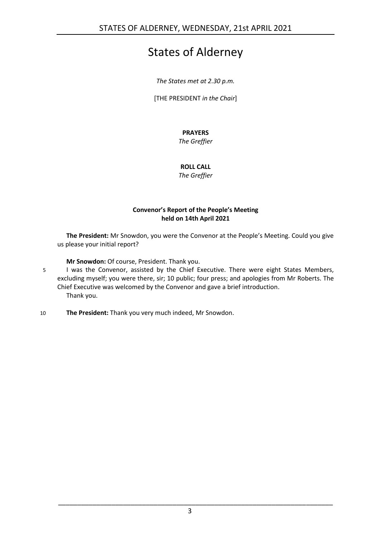# States of Alderney

*The States met at 2.30 p.m.*

[THE PRESIDENT *in the Chair*]

## **PRAYERS**

*The Greffier*

## **ROLL CALL**

*The Greffier*

#### **Convenor's Report of the People's Meeting held on 14th April 2021**

<span id="page-2-0"></span>**The President:** Mr Snowdon, you were the Convenor at the People's Meeting. Could you give us please your initial report?

**Mr Snowdon:** Of course, President. Thank you.

- 5 I was the Convenor, assisted by the Chief Executive. There were eight States Members, excluding myself; you were there, sir; 10 public; four press; and apologies from Mr Roberts. The Chief Executive was welcomed by the Convenor and gave a brief introduction. Thank you.
- 10 **The President:** Thank you very much indeed, Mr Snowdon.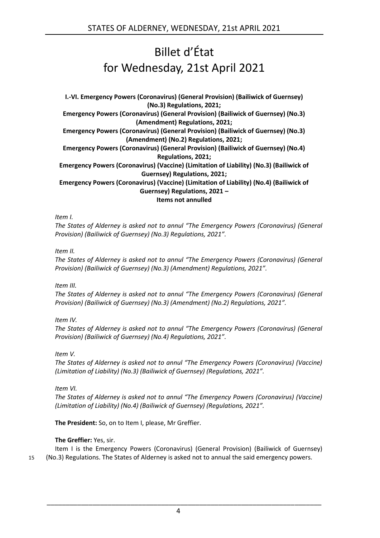# Billet d'État for Wednesday, 21st April 2021

<span id="page-3-1"></span><span id="page-3-0"></span>**I.-VI. Emergency Powers (Coronavirus) (General Provision) (Bailiwick of Guernsey) (No.3) Regulations, 2021; Emergency Powers (Coronavirus) (General Provision) (Bailiwick of Guernsey) (No.3) (Amendment) Regulations, 2021; Emergency Powers (Coronavirus) (General Provision) (Bailiwick of Guernsey) (No.3) (Amendment) (No.2) Regulations, 2021; Emergency Powers (Coronavirus) (General Provision) (Bailiwick of Guernsey) (No.4) Regulations, 2021; Emergency Powers (Coronavirus) (Vaccine) (Limitation of Liability) (No.3) (Bailiwick of Guernsey) Regulations, 2021; Emergency Powers (Coronavirus) (Vaccine) (Limitation of Liability) (No.4) (Bailiwick of Guernsey) Regulations, 2021 – Items not annulled**

*Item I.*

*The States of Alderney is asked not to annul "The Emergency Powers (Coronavirus) (General Provision) (Bailiwick of Guernsey) (No.3) Regulations, 2021".*

#### *Item II.*

*The States of Alderney is asked not to annul "The Emergency Powers (Coronavirus) (General Provision) (Bailiwick of Guernsey) (No.3) (Amendment) Regulations, 2021".*

*Item III.*

*The States of Alderney is asked not to annul "The Emergency Powers (Coronavirus) (General Provision) (Bailiwick of Guernsey) (No.3) (Amendment) (No.2) Regulations, 2021".*

*Item IV.*

*The States of Alderney is asked not to annul "The Emergency Powers (Coronavirus) (General Provision) (Bailiwick of Guernsey) (No.4) Regulations, 2021".*

*Item V.*

*The States of Alderney is asked not to annul "The Emergency Powers (Coronavirus) (Vaccine) (Limitation of Liability) (No.3) (Bailiwick of Guernsey) (Regulations, 2021".*

*Item VI.*

*The States of Alderney is asked not to annul "The Emergency Powers (Coronavirus) (Vaccine) (Limitation of Liability) (No.4) (Bailiwick of Guernsey) (Regulations, 2021".*

**The President:** So, on to Item I, please, Mr Greffier.

#### **The Greffier:** Yes, sir.

Item I is the Emergency Powers (Coronavirus) (General Provision) (Bailiwick of Guernsey) 15 (No.3) Regulations. The States of Alderney is asked not to annual the said emergency powers.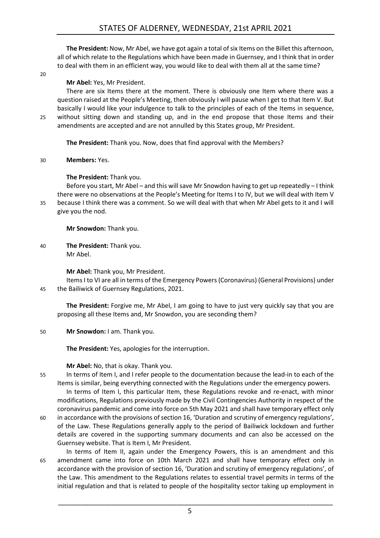**The President:** Now, Mr Abel, we have got again a total of six Items on the Billet this afternoon, all of which relate to the Regulations which have been made in Guernsey, and I think that in order to deal with them in an efficient way, you would like to deal with them all at the same time?

 $20$ 

#### **Mr Abel:** Yes, Mr President.

There are six Items there at the moment. There is obviously one Item where there was a question raised at the People's Meeting, then obviously I will pause when I get to that Item V. But basically I would like your indulgence to talk to the principles of each of the Items in sequence, 25 without sitting down and standing up, and in the end propose that those Items and their amendments are accepted and are not annulled by this States group, Mr President.

**The President:** Thank you. Now, does that find approval with the Members?

#### 30 **Members:** Yes.

#### **The President:** Thank you.

Before you start, Mr Abel – and this will save Mr Snowdon having to get up repeatedly – I think there were no observations at the People's Meeting for Items I to IV, but we will deal with Item V 35 because I think there was a comment. So we will deal with that when Mr Abel gets to it and I will give you the nod.

**Mr Snowdon:** Thank you.

40 **The President:** Thank you. Mr Abel.

**Mr Abel:** Thank you, Mr President.

Items I to VI are all in terms of the Emergency Powers (Coronavirus) (General Provisions) under 45 the Bailiwick of Guernsey Regulations, 2021.

**The President:** Forgive me, Mr Abel, I am going to have to just very quickly say that you are proposing all these Items and, Mr Snowdon, you are seconding them?

50 **Mr Snowdon:** I am. Thank you.

**The President:** Yes, apologies for the interruption.

#### **Mr Abel:** No, that is okay. Thank you.

55 In terms of Item I, and I refer people to the documentation because the lead-in to each of the Items is similar, being everything connected with the Regulations under the emergency powers.

In terms of Item I, this particular Item, these Regulations revoke and re-enact, with minor modifications, Regulations previously made by the Civil Contingencies Authority in respect of the coronavirus pandemic and come into force on 5th May 2021 and shall have temporary effect only

- 60 in accordance with the provisions of section 16, 'Duration and scrutiny of emergency regulations', of the Law. These Regulations generally apply to the period of Bailiwick lockdown and further details are covered in the supporting summary documents and can also be accessed on the Guernsey website. That is Item I, Mr President.
- In terms of Item II, again under the Emergency Powers, this is an amendment and this 65 amendment came into force on 10th March 2021 and shall have temporary effect only in accordance with the provision of section 16, 'Duration and scrutiny of emergency regulations', of the Law. This amendment to the Regulations relates to essential travel permits in terms of the initial regulation and that is related to people of the hospitality sector taking up employment in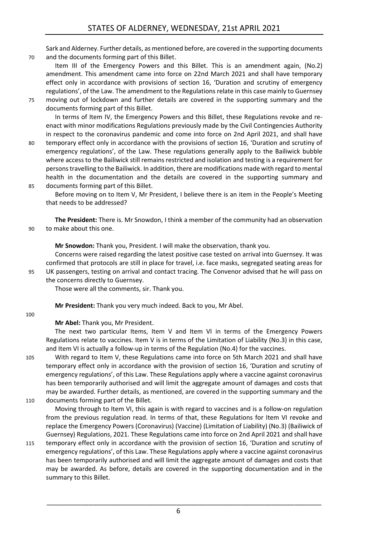Sark and Alderney. Further details, as mentioned before, are covered in the supporting documents 70 and the documents forming part of this Billet.

Item III of the Emergency Powers and this Billet. This is an amendment again, (No.2) amendment. This amendment came into force on 22nd March 2021 and shall have temporary effect only in accordance with provisions of section 16, 'Duration and scrutiny of emergency regulations', of the Law. The amendment to the Regulations relate in this case mainly to Guernsey

75 moving out of lockdown and further details are covered in the supporting summary and the documents forming part of this Billet.

In terms of Item IV, the Emergency Powers and this Billet, these Regulations revoke and reenact with minor modifications Regulations previously made by the Civil Contingencies Authority in respect to the coronavirus pandemic and come into force on 2nd April 2021, and shall have

- 80 temporary effect only in accordance with the provisions of section 16, 'Duration and scrutiny of emergency regulations', of the Law. These regulations generally apply to the Bailiwick bubble where access to the Bailiwick still remains restricted and isolation and testing is a requirement for persons travelling to the Bailiwick. In addition, there are modifications made with regard to mental health in the documentation and the details are covered in the supporting summary and 85 documents forming part of this Billet.
	- Before moving on to Item V, Mr President, I believe there is an item in the People's Meeting that needs to be addressed?

**The President:** There is. Mr Snowdon, I think a member of the community had an observation 90 to make about this one.

**Mr Snowdon:** Thank you, President. I will make the observation, thank you.

Concerns were raised regarding the latest positive case tested on arrival into Guernsey. It was confirmed that protocols are still in place for travel, i.e. face masks, segregated seating areas for 95 UK passengers, testing on arrival and contact tracing. The Convenor advised that he will pass on

the concerns directly to Guernsey.

Those were all the comments, sir. Thank you.

**Mr President:** Thank you very much indeed. Back to you, Mr Abel.

#### 100

**Mr Abel:** Thank you, Mr President.

The next two particular Items, Item V and Item VI in terms of the Emergency Powers Regulations relate to vaccines. Item V is in terms of the Limitation of Liability (No.3) in this case, and Item VI is actually a follow-up in terms of the Regulation (No.4) for the vaccines.

105 With regard to Item V, these Regulations came into force on 5th March 2021 and shall have temporary effect only in accordance with the provision of section 16, 'Duration and scrutiny of emergency regulations', of this Law. These Regulations apply where a vaccine against coronavirus has been temporarily authorised and will limit the aggregate amount of damages and costs that may be awarded. Further details, as mentioned, are covered in the supporting summary and the 110 documents forming part of the Billet.

Moving through to Item VI, this again is with regard to vaccines and is a follow-on regulation from the previous regulation read. In terms of that, these Regulations for Item VI revoke and replace the Emergency Powers (Coronavirus) (Vaccine) (Limitation of Liability) (No.3) (Bailiwick of Guernsey) Regulations, 2021. These Regulations came into force on 2nd April 2021 and shall have

115 temporary effect only in accordance with the provision of section 16, 'Duration and scrutiny of emergency regulations', of this Law. These Regulations apply where a vaccine against coronavirus has been temporarily authorised and will limit the aggregate amount of damages and costs that may be awarded. As before, details are covered in the supporting documentation and in the summary to this Billet.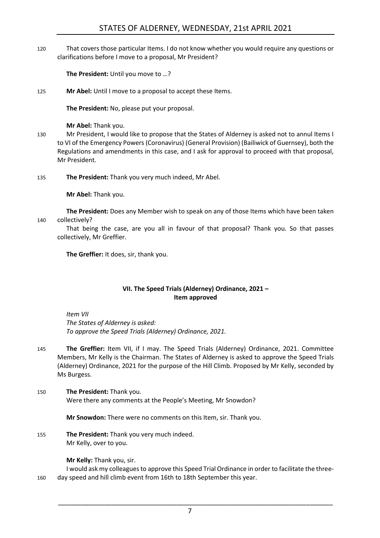120 That covers those particular Items. I do not know whether you would require any questions or clarifications before I move to a proposal, Mr President?

**The President:** Until you move to …?

125 **Mr Abel:** Until I move to a proposal to accept these Items.

**The President:** No, please put your proposal.

**Mr Abel:** Thank you.

130 Mr President, I would like to propose that the States of Alderney is asked not to annul Items I to VI of the Emergency Powers (Coronavirus) (General Provision) (Bailiwick of Guernsey), both the Regulations and amendments in this case, and I ask for approval to proceed with that proposal, Mr President.

135 **The President:** Thank you very much indeed, Mr Abel.

**Mr Abel:** Thank you.

**The President:** Does any Member wish to speak on any of those Items which have been taken 140 collectively?

That being the case, are you all in favour of that proposal? Thank you. So that passes collectively, Mr Greffier.

**The Greffier:** It does, sir, thank you.

#### **VII. The Speed Trials (Alderney) Ordinance, 2021 – Item approved**

<span id="page-6-0"></span>*Item VII The States of Alderney is asked: To approve the Speed Trials (Alderney) Ordinance, 2021.*

- 145 **The Greffier:** Item VII, if I may. The Speed Trials (Alderney) Ordinance, 2021. Committee Members, Mr Kelly is the Chairman. The States of Alderney is asked to approve the Speed Trials (Alderney) Ordinance, 2021 for the purpose of the Hill Climb. Proposed by Mr Kelly, seconded by Ms Burgess.
- 150 **The President:** Thank you. Were there any comments at the People's Meeting, Mr Snowdon?

**Mr Snowdon:** There were no comments on this Item, sir. Thank you.

155 **The President:** Thank you very much indeed. Mr Kelly, over to you.

**Mr Kelly:** Thank you, sir.

I would ask my colleagues to approve this Speed Trial Ordinance in order to facilitate the three-160 day speed and hill climb event from 16th to 18th September this year.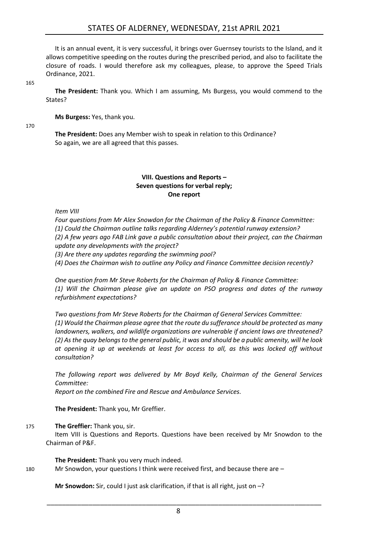It is an annual event, it is very successful, it brings over Guernsey tourists to the Island, and it allows competitive speeding on the routes during the prescribed period, and also to facilitate the closure of roads. I would therefore ask my colleagues, please, to approve the Speed Trials Ordinance, 2021.

165

**The President:** Thank you. Which I am assuming, Ms Burgess, you would commend to the States?

**Ms Burgess:** Yes, thank you.

170

**The President:** Does any Member wish to speak in relation to this Ordinance? So again, we are all agreed that this passes.

#### **VIII. Questions and Reports – Seven questions for verbal reply; One report**

<span id="page-7-0"></span>*Item VIII*

*Four questions from Mr Alex Snowdon for the Chairman of the Policy & Finance Committee: (1) Could the Chairman outline talks regarding Alderney's potential runway extension? (2) A few years ago FAB Link gave a public consultation about their project, can the Chairman update any developments with the project?*

*(3) Are there any updates regarding the swimming pool?*

*(4) Does the Chairman wish to outline any Policy and Finance Committee decision recently?*

*One question from Mr Steve Roberts for the Chairman of Policy & Finance Committee: (1) Will the Chairman please give an update on PSO progress and dates of the runway refurbishment expectations?*

*Two questions from Mr Steve Roberts for the Chairman of General Services Committee: (1) Would the Chairman please agree that the route du sufferance should be protected as many landowners, walkers, and wildlife organizations are vulnerable if ancient laws are threatened? (2) As the quay belongs to the general public, it was and should be a public amenity, will he look at opening it up at weekends at least for access to all, as this was locked off without consultation?*

*The following report was delivered by Mr Boyd Kelly, Chairman of the General Services Committee: Report on the combined Fire and Rescue and Ambulance Services.*

**The President:** Thank you, Mr Greffier.

#### 175 **The Greffier:** Thank you, sir.

Item VIII is Questions and Reports. Questions have been received by Mr Snowdon to the Chairman of P&F.

**The President:** Thank you very much indeed. 180 Mr Snowdon, your questions I think were received first, and because there are –

**Mr Snowdon:** Sir, could I just ask clarification, if that is all right, just on –?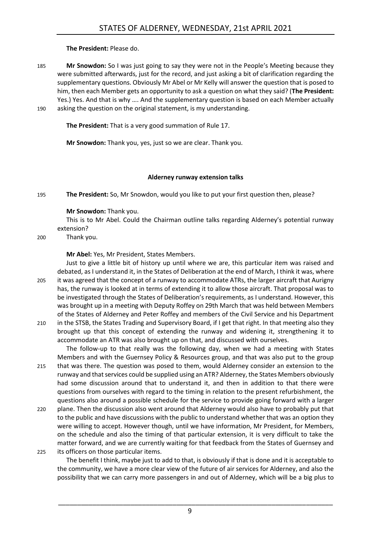**The President:** Please do.

- 185 **Mr Snowdon:** So I was just going to say they were not in the People's Meeting because they were submitted afterwards, just for the record, and just asking a bit of clarification regarding the supplementary questions. Obviously Mr Abel or Mr Kelly will answer the question that is posed to him, then each Member gets an opportunity to ask a question on what they said? (**The President:** Yes.) Yes. And that is why …. And the supplementary question is based on each Member actually 190 asking the question on the original statement, is my understanding.
- 

**The President:** That is a very good summation of Rule 17.

**Mr Snowdon:** Thank you, yes, just so we are clear. Thank you.

#### **Alderney runway extension talks**

<span id="page-8-0"></span>195 **The President:** So, Mr Snowdon, would you like to put your first question then, please?

#### **Mr Snowdon:** Thank you.

This is to Mr Abel. Could the Chairman outline talks regarding Alderney's potential runway extension?

200 Thank you.

**Mr Abel:** Yes, Mr President, States Members.

Just to give a little bit of history up until where we are, this particular item was raised and debated, as I understand it, in the States of Deliberation at the end of March, I think it was, where 205 it was agreed that the concept of a runway to accommodate ATRs, the larger aircraft that Aurigny has, the runway is looked at in terms of extending it to allow those aircraft. That proposal was to be investigated through the States of Deliberation's requirements, as I understand. However, this was brought up in a meeting with Deputy Roffey on 29th March that was held between Members of the States of Alderney and Peter Roffey and members of the Civil Service and his Department

210 in the STSB, the States Trading and Supervisory Board, if I get that right. In that meeting also they brought up that this concept of extending the runway and widening it, strengthening it to accommodate an ATR was also brought up on that, and discussed with ourselves.

The follow-up to that really was the following day, when we had a meeting with States Members and with the Guernsey Policy & Resources group, and that was also put to the group 215 that was there. The question was posed to them, would Alderney consider an extension to the runway and that services could be supplied using an ATR? Alderney, the States Members obviously had some discussion around that to understand it, and then in addition to that there were questions from ourselves with regard to the timing in relation to the present refurbishment, the questions also around a possible schedule for the service to provide going forward with a larger

- 220 plane. Then the discussion also went around that Alderney would also have to probably put that to the public and have discussions with the public to understand whether that was an option they were willing to accept. However though, until we have information, Mr President, for Members, on the schedule and also the timing of that particular extension, it is very difficult to take the matter forward, and we are currently waiting for that feedback from the States of Guernsey and 225 its officers on those particular items.
	- The benefit I think, maybe just to add to that, is obviously if that is done and it is acceptable to the community, we have a more clear view of the future of air services for Alderney, and also the possibility that we can carry more passengers in and out of Alderney, which will be a big plus to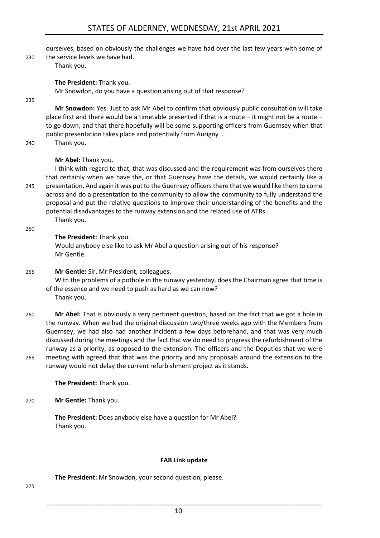ourselves, based on obviously the challenges we have had over the last few years with some of

230 the service levels we have had.

Thank you.

**The President:** Thank you.

Mr Snowdon, do you have a question arising out of that response?

235

**Mr Snowdon:** Yes. Just to ask Mr Abel to confirm that obviously public consultation will take place first and there would be a timetable presented if that is a route – it might not be a route – to go down, and that there hopefully will be some supporting officers from Guernsey when that public presentation takes place and potentially from Aurigny …

240 Thank you.

#### **Mr Abel:** Thank you.

I think with regard to that, that was discussed and the requirement was from ourselves there that certainly when we have the, or that Guernsey have the details, we would certainly like a 245 presentation. And again it was put to the Guernsey officers there that we would like them to come across and do a presentation to the community to allow the community to fully understand the proposal and put the relative questions to improve their understanding of the benefits and the potential disadvantages to the runway extension and the related use of ATRs. Thank you.

250

#### **The President:** Thank you.

Would anybody else like to ask Mr Abel a question arising out of his response? Mr Gentle.

#### 255 **Mr Gentle:** Sir, Mr President, colleagues.

With the problems of a pothole in the runway yesterday, does the Chairman agree that time is of the essence and we need to push as hard as we can now?

Thank you.

260 **Mr Abel:** That is obviously a very pertinent question, based on the fact that we got a hole in the runway. When we had the original discussion two/three weeks ago with the Members from Guernsey, we had also had another incident a few days beforehand, and that was very much discussed during the meetings and the fact that we do need to progress the refurbishment of the runway as a priority, as opposed to the extension. The officers and the Deputies that we were 265 meeting with agreed that that was the priority and any proposals around the extension to the runway would not delay the current refurbishment project as it stands.

**The President:** Thank you.

#### 270 **Mr Gentle:** Thank you.

**The President:** Does anybody else have a question for Mr Abel? Thank you.

#### **FAB Link update**

<span id="page-9-0"></span>**The President:** Mr Snowdon, your second question, please.

275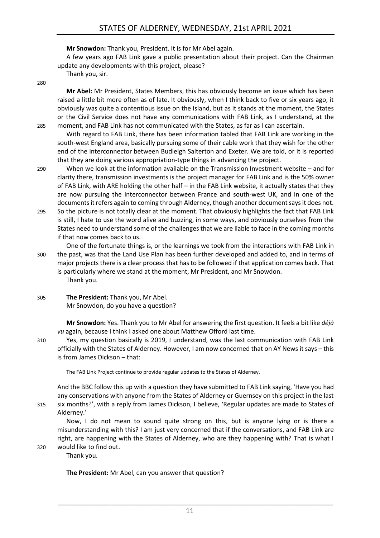**Mr Snowdon:** Thank you, President. It is for Mr Abel again.

A few years ago FAB Link gave a public presentation about their project. Can the Chairman update any developments with this project, please?

Thank you, sir.

280

**Mr Abel:** Mr President, States Members, this has obviously become an issue which has been raised a little bit more often as of late. It obviously, when I think back to five or six years ago, it obviously was quite a contentious issue on the Island, but as it stands at the moment, the States or the Civil Service does not have any communications with FAB Link, as I understand, at the 285 moment, and FAB Link has not communicated with the States, as far as I can ascertain.

With regard to FAB Link, there has been information tabled that FAB Link are working in the south-west England area, basically pursuing some of their cable work that they wish for the other end of the interconnector between Budleigh Salterton and Exeter. We are told, or it is reported that they are doing various appropriation-type things in advancing the project.

- 290 When we look at the information available on the Transmission Investment website and for clarity there, transmission investments is the project manager for FAB Link and is the 50% owner of FAB Link, with ARE holding the other half – in the FAB Link website, it actually states that they are now pursuing the interconnector between France and south-west UK, and in one of the documents it refers again to coming through Alderney, though another document says it does not.
- 295 So the picture is not totally clear at the moment. That obviously highlights the fact that FAB Link is still, I hate to use the word alive and buzzing, in some ways, and obviously ourselves from the States need to understand some of the challenges that we are liable to face in the coming months if that now comes back to us.

One of the fortunate things is, or the learnings we took from the interactions with FAB Link in 300 the past, was that the Land Use Plan has been further developed and added to, and in terms of major projects there is a clear process that has to be followed if that application comes back. That is particularly where we stand at the moment, Mr President, and Mr Snowdon. Thank you.

305 **The President:** Thank you, Mr Abel. Mr Snowdon, do you have a question?

> **Mr Snowdon:** Yes. Thank you to Mr Abel for answering the first question. It feels a bit like *déjà vu* again, because I think I asked one about Matthew Offord last time.

310 Yes, my question basically is 2019, I understand, was the last communication with FAB Link officially with the States of Alderney. However, I am now concerned that on AY News it says – this is from James Dickson – that:

The FAB Link Project continue to provide regular updates to the States of Alderney.

And the BBC follow this up with a question they have submitted to FAB Link saying, 'Have you had any conservations with anyone from the States of Alderney or Guernsey on this project in the last 315 six months?', with a reply from James Dickson, I believe, 'Regular updates are made to States of Alderney.'

Now, I do not mean to sound quite strong on this, but is anyone lying or is there a misunderstanding with this? I am just very concerned that if the conversations, and FAB Link are right, are happening with the States of Alderney, who are they happening with? That is what I 320 would like to find out.

Thank you.

**The President:** Mr Abel, can you answer that question?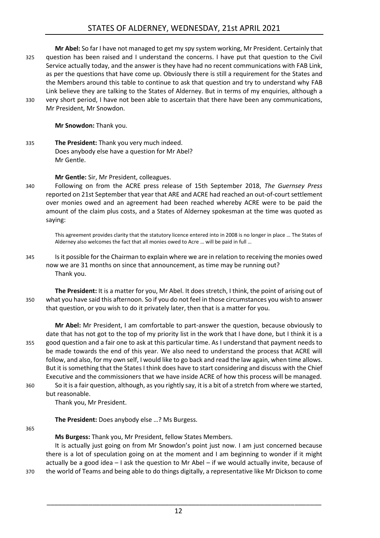**Mr Abel:** So far I have not managed to get my spy system working, Mr President. Certainly that 325 question has been raised and I understand the concerns. I have put that question to the Civil Service actually today, and the answer is they have had no recent communications with FAB Link, as per the questions that have come up. Obviously there is still a requirement for the States and the Members around this table to continue to ask that question and try to understand why FAB Link believe they are talking to the States of Alderney. But in terms of my enquiries, although a 330 very short period, I have not been able to ascertain that there have been any communications,

Mr President, Mr Snowdon.

**Mr Snowdon:** Thank you.

335 **The President:** Thank you very much indeed. Does anybody else have a question for Mr Abel? Mr Gentle.

**Mr Gentle:** Sir, Mr President, colleagues.

340 Following on from the ACRE press release of 15th September 2018, *The Guernsey Press* reported on 21st September that year that ARE and ACRE had reached an out-of-court settlement over monies owed and an agreement had been reached whereby ACRE were to be paid the amount of the claim plus costs, and a States of Alderney spokesman at the time was quoted as saying:

This agreement provides clarity that the statutory licence entered into in 2008 is no longer in place … The States of Alderney also welcomes the fact that all monies owed to Acre … will be paid in full …

345 Is it possible for the Chairman to explain where we are in relation to receiving the monies owed now we are 31 months on since that announcement, as time may be running out? Thank you.

**The President:** It is a matter for you, Mr Abel. It does stretch, I think, the point of arising out of 350 what you have said this afternoon. So if you do not feel in those circumstances you wish to answer that question, or you wish to do it privately later, then that is a matter for you.

**Mr Abel:** Mr President, I am comfortable to part-answer the question, because obviously to date that has not got to the top of my priority list in the work that I have done, but I think it is a 355 good question and a fair one to ask at this particular time. As I understand that payment needs to be made towards the end of this year. We also need to understand the process that ACRE will follow, and also, for my own self, I would like to go back and read the law again, when time allows. But it is something that the States I think does have to start considering and discuss with the Chief Executive and the commissioners that we have inside ACRE of how this process will be managed. 360 So it is a fair question, although, as you rightly say, it is a bit of a stretch from where we started, but reasonable.

Thank you, Mr President.

**The President:** Does anybody else …? Ms Burgess.

365

**Ms Burgess:** Thank you, Mr President, fellow States Members.

It is actually just going on from Mr Snowdon's point just now. I am just concerned because there is a lot of speculation going on at the moment and I am beginning to wonder if it might actually be a good idea – I ask the question to Mr Abel – if we would actually invite, because of 370 the world of Teams and being able to do things digitally, a representative like Mr Dickson to come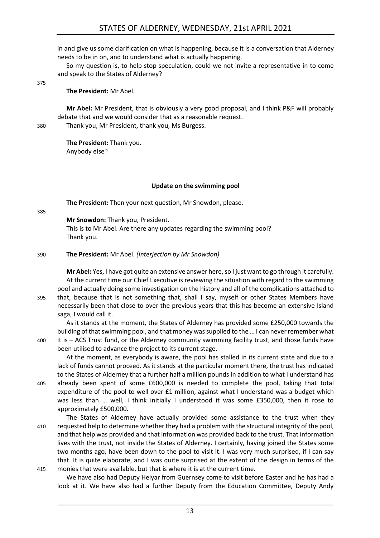in and give us some clarification on what is happening, because it is a conversation that Alderney needs to be in on, and to understand what is actually happening.

So my question is, to help stop speculation, could we not invite a representative in to come and speak to the States of Alderney?

375

**The President:** Mr Abel.

**Mr Abel:** Mr President, that is obviously a very good proposal, and I think P&F will probably debate that and we would consider that as a reasonable request.

380 Thank you, Mr President, thank you, Ms Burgess.

**The President:** Thank you. Anybody else?

#### **Update on the swimming pool**

<span id="page-12-0"></span>**The President:** Then your next question, Mr Snowdon, please.

385

**Mr Snowdon:** Thank you, President.

This is to Mr Abel. Are there any updates regarding the swimming pool? Thank you.

#### 390 **The President:** Mr Abel. *(Interjection by Mr Snowdon)*

**Mr Abel:** Yes, I have got quite an extensive answer here, so I just want to go through it carefully. At the current time our Chief Executive is reviewing the situation with regard to the swimming pool and actually doing some investigation on the history and all of the complications attached to 395 that, because that is not something that, shall I say, myself or other States Members have necessarily been that close to over the previous years that this has become an extensive Island saga, I would call it.

As it stands at the moment, the States of Alderney has provided some £250,000 towards the building of that swimming pool, and that money was supplied to the … I can never remember what 400 it is – ACS Trust fund, or the Alderney community swimming facility trust, and those funds have

been utilised to advance the project to its current stage. At the moment, as everybody is aware, the pool has stalled in its current state and due to a lack of funds cannot proceed. As it stands at the particular moment there, the trust has indicated to the States of Alderney that a further half a million pounds in addition to what I understand has

405 already been spent of some £600,000 is needed to complete the pool, taking that total expenditure of the pool to well over £1 million, against what I understand was a budget which was less than … well, I think initially I understood it was some £350,000, then it rose to approximately £500,000.

The States of Alderney have actually provided some assistance to the trust when they 410 requested help to determine whether they had a problem with the structural integrity of the pool, and that help was provided and that information was provided back to the trust. That information lives with the trust, not inside the States of Alderney. I certainly, having joined the States some two months ago, have been down to the pool to visit it. I was very much surprised, if I can say that. It is quite elaborate, and I was quite surprised at the extent of the design in terms of the 415 monies that were available, but that is where it is at the current time.

We have also had Deputy Helyar from Guernsey come to visit before Easter and he has had a look at it. We have also had a further Deputy from the Education Committee, Deputy Andy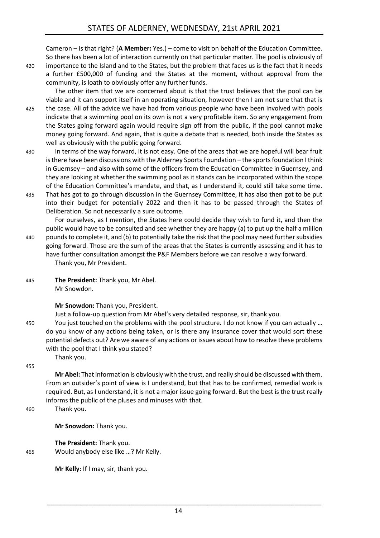Cameron – is that right? (**A Member:** Yes.) – come to visit on behalf of the Education Committee. So there has been a lot of interaction currently on that particular matter. The pool is obviously of

420 importance to the Island and to the States, but the problem that faces us is the fact that it needs a further £500,000 of funding and the States at the moment, without approval from the community, is loath to obviously offer any further funds.

The other item that we are concerned about is that the trust believes that the pool can be viable and it can support itself in an operating situation, however then I am not sure that that is 425 the case. All of the advice we have had from various people who have been involved with pools indicate that a swimming pool on its own is not a very profitable item. So any engagement from the States going forward again would require sign off from the public, if the pool cannot make money going forward. And again, that is quite a debate that is needed, both inside the States as well as obviously with the public going forward.

- 430 In terms of the way forward, it is not easy. One of the areas that we are hopeful will bear fruit is there have been discussions with the Alderney Sports Foundation – the sports foundation I think in Guernsey – and also with some of the officers from the Education Committee in Guernsey, and they are looking at whether the swimming pool as it stands can be incorporated within the scope of the Education Committee's mandate, and that, as I understand it, could still take some time.
- 435 That has got to go through discussion in the Guernsey Committee, it has also then got to be put into their budget for potentially 2022 and then it has to be passed through the States of Deliberation. So not necessarily a sure outcome.

For ourselves, as I mention, the States here could decide they wish to fund it, and then the public would have to be consulted and see whether they are happy (a) to put up the half a million 440 pounds to complete it, and (b) to potentially take the risk that the pool may need further subsidies going forward. Those are the sum of the areas that the States is currently assessing and it has to

have further consultation amongst the P&F Members before we can resolve a way forward. Thank you, Mr President.

445 **The President:** Thank you, Mr Abel. Mr Snowdon.

Thank you.

#### **Mr Snowdon:** Thank you, President.

Just a follow-up question from Mr Abel's very detailed response, sir, thank you.

450 You just touched on the problems with the pool structure. I do not know if you can actually … do you know of any actions being taken, or is there any insurance cover that would sort these potential defects out? Are we aware of any actions or issues about how to resolve these problems with the pool that I think you stated?

#### 455

**Mr Abel:** That information is obviously with the trust, and really should be discussed with them. From an outsider's point of view is I understand, but that has to be confirmed, remedial work is required. But, as I understand, it is not a major issue going forward. But the best is the trust really informs the public of the pluses and minuses with that.

460 Thank you.

**Mr Snowdon:** Thank you.

**The President:** Thank you. 465 Would anybody else like …? Mr Kelly.

**Mr Kelly:** If I may, sir, thank you.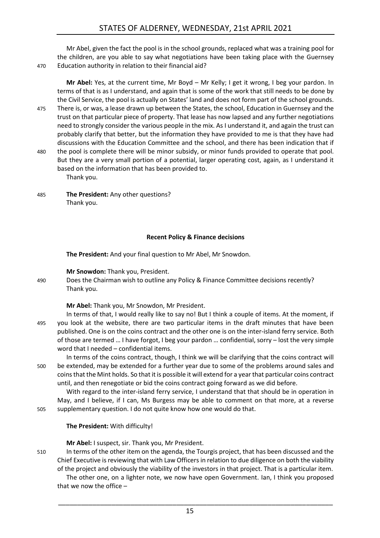Mr Abel, given the fact the pool is in the school grounds, replaced what was a training pool for the children, are you able to say what negotiations have been taking place with the Guernsey 470 Education authority in relation to their financial aid?

**Mr Abel:** Yes, at the current time, Mr Boyd – Mr Kelly; I get it wrong, I beg your pardon. In terms of that is as I understand, and again that is some of the work that still needs to be done by the Civil Service, the pool is actually on States' land and does not form part of the school grounds. 475 There is, or was, a lease drawn up between the States, the school, Education in Guernsey and the trust on that particular piece of property. That lease has now lapsed and any further negotiations need to strongly consider the various people in the mix. As I understand it, and again the trust can probably clarify that better, but the information they have provided to me is that they have had discussions with the Education Committee and the school, and there has been indication that if 480 the pool is complete there will be minor subsidy, or minor funds provided to operate that pool. But they are a very small portion of a potential, larger operating cost, again, as I understand it based on the information that has been provided to.

Thank you.

485 **The President:** Any other questions? Thank you.

#### **Recent Policy & Finance decisions**

<span id="page-14-0"></span>**The President:** And your final question to Mr Abel, Mr Snowdon.

**Mr Snowdon:** Thank you, President.

490 Does the Chairman wish to outline any Policy & Finance Committee decisions recently? Thank you.

**Mr Abel:** Thank you, Mr Snowdon, Mr President.

- In terms of that, I would really like to say no! But I think a couple of items. At the moment, if 495 you look at the website, there are two particular items in the draft minutes that have been published. One is on the coins contract and the other one is on the inter-island ferry service. Both of those are termed … I have forgot, I beg your pardon … confidential, sorry – lost the very simple word that I needed – confidential items.
- In terms of the coins contract, though, I think we will be clarifying that the coins contract will 500 be extended, may be extended for a further year due to some of the problems around sales and coins that the Mint holds. So that it is possible it will extend for a year that particular coins contract until, and then renegotiate or bid the coins contract going forward as we did before.

With regard to the inter-island ferry service, I understand that that should be in operation in May, and I believe, if I can, Ms Burgess may be able to comment on that more, at a reverse 505 supplementary question. I do not quite know how one would do that.

**The President:** With difficulty!

**Mr Abel:** I suspect, sir. Thank you, Mr President.

510 In terms of the other item on the agenda, the Tourgis project, that has been discussed and the Chief Executive is reviewing that with Law Officers in relation to due diligence on both the viability of the project and obviously the viability of the investors in that project. That is a particular item.

The other one, on a lighter note, we now have open Government. Ian, I think you proposed that we now the office –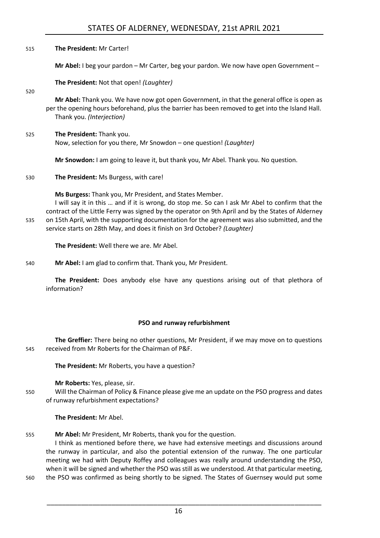## STATES OF ALDERNEY, WEDNESDAY, 21st APRIL 2021

| The President: Mr Carter! |
|---------------------------|
|                           |

**Mr Abel:** I beg your pardon – Mr Carter, beg your pardon. We now have open Government –

**The President:** Not that open! *(Laughter)*

520

**Mr Abel:** Thank you. We have now got open Government, in that the general office is open as per the opening hours beforehand, plus the barrier has been removed to get into the Island Hall. Thank you. *(Interjection)*

525 **The President:** Thank you. Now, selection for you there, Mr Snowdon – one question! *(Laughter)*

**Mr Snowdon:** I am going to leave it, but thank you, Mr Abel. Thank you. No question.

530 **The President:** Ms Burgess, with care!

**Ms Burgess:** Thank you, Mr President, and States Member.

I will say it in this … and if it is wrong, do stop me. So can I ask Mr Abel to confirm that the contract of the Little Ferry was signed by the operator on 9th April and by the States of Alderney 535 on 15th April, with the supporting documentation for the agreement was also submitted, and the service starts on 28th May, and does it finish on 3rd October? *(Laughter)*

**The President:** Well there we are. Mr Abel.

540 **Mr Abel:** I am glad to confirm that. Thank you, Mr President.

**The President:** Does anybody else have any questions arising out of that plethora of information?

#### **PSO and runway refurbishment**

<span id="page-15-0"></span>**The Greffier:** There being no other questions, Mr President, if we may move on to questions 545 received from Mr Roberts for the Chairman of P&F.

**The President:** Mr Roberts, you have a question?

**Mr Roberts:** Yes, please, sir.

550 Will the Chairman of Policy & Finance please give me an update on the PSO progress and dates of runway refurbishment expectations?

**The President:** Mr Abel.

555 **Mr Abel:** Mr President, Mr Roberts, thank you for the question.

I think as mentioned before there, we have had extensive meetings and discussions around the runway in particular, and also the potential extension of the runway. The one particular meeting we had with Deputy Roffey and colleagues was really around understanding the PSO, when it will be signed and whether the PSO was still as we understood. At that particular meeting,

560 the PSO was confirmed as being shortly to be signed. The States of Guernsey would put some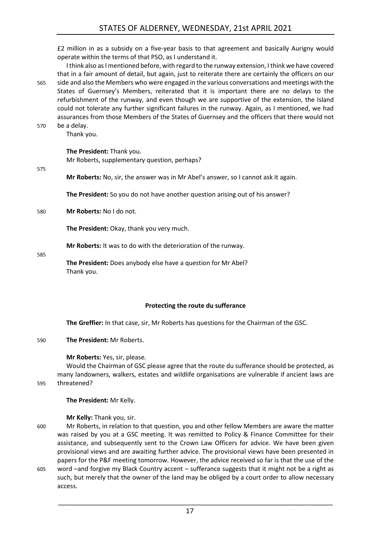£2 million in as a subsidy on a five-year basis to that agreement and basically Aurigny would operate within the terms of that PSO, as I understand it.

I think also as I mentioned before, with regard to the runway extension, I think we have covered that in a fair amount of detail, but again, just to reiterate there are certainly the officers on our 565 side and also the Members who were engaged in the various conversations and meetings with the States of Guernsey's Members, reiterated that it is important there are no delays to the refurbishment of the runway, and even though we are supportive of the extension, the Island could not tolerate any further significant failures in the runway. Again, as I mentioned, we had assurances from those Members of the States of Guernsey and the officers that there would not 570 be a delay.

Thank you.

**The President:** Thank you.

Mr Roberts, supplementary question, perhaps?

575

**Mr Roberts:** No, sir, the answer was in Mr Abel's answer, so I cannot ask it again.

**The President:** So you do not have another question arising out of his answer?

580 **Mr Roberts:** No I do not.

**The President:** Okay, thank you very much.

**Mr Roberts:** It was to do with the deterioration of the runway.

585

**The President:** Does anybody else have a question for Mr Abel? Thank you.

#### **Protecting the route du sufferance**

<span id="page-16-0"></span>**The Greffier:** In that case, sir, Mr Roberts has questions for the Chairman of the GSC.

#### 590 **The President:** Mr Roberts.

**Mr Roberts:** Yes, sir, please.

Would the Chairman of GSC please agree that the route du sufferance should be protected, as many landowners, walkers, estates and wildlife organisations are vulnerable if ancient laws are 595 threatened?

**The President:** Mr Kelly.

**Mr Kelly:** Thank you, sir.

- 600 Mr Roberts, in relation to that question, you and other fellow Members are aware the matter was raised by you at a GSC meeting. It was remitted to Policy & Finance Committee for their assistance, and subsequently sent to the Crown Law Officers for advice. We have been given provisional views and are awaiting further advice. The provisional views have been presented in papers for the P&F meeting tomorrow. However, the advice received so far is that the use of the 605 word –and forgive my Black Country accent – sufferance suggests that it might not be a right as
	- such, but merely that the owner of the land may be obliged by a court order to allow necessary access.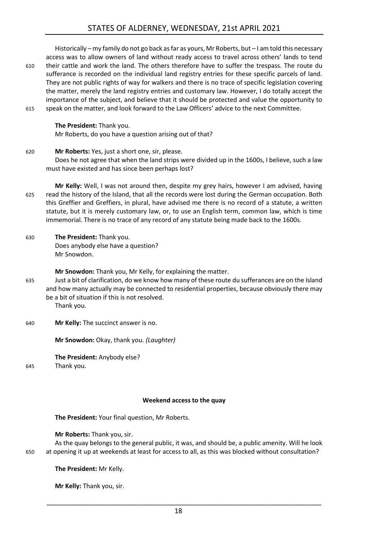Historically – my family do not go back as far as yours, Mr Roberts, but – I am told this necessary access was to allow owners of land without ready access to travel across others' lands to tend 610 their cattle and work the land. The others therefore have to suffer the trespass. The route du sufferance is recorded on the individual land registry entries for these specific parcels of land. They are not public rights of way for walkers and there is no trace of specific legislation covering the matter, merely the land registry entries and customary law. However, I do totally accept the importance of the subject, and believe that it should be protected and value the opportunity to 615 speak on the matter, and look forward to the Law Officers' advice to the next Committee.

**The President:** Thank you. Mr Roberts, do you have a question arising out of that?

620 **Mr Roberts:** Yes, just a short one, sir, please. Does he not agree that when the land strips were divided up in the 1600s, I believe, such a law must have existed and has since been perhaps lost?

**Mr Kelly:** Well, I was not around then, despite my grey hairs, however I am advised, having 625 read the history of the Island, that all the records were lost during the German occupation. Both this Greffier and Greffiers, in plural, have advised me there is no record of a statute, a written statute, but it is merely customary law, or, to use an English term, common law, which is time immemorial. There is no trace of any record of any statute being made back to the 1600s.

630 **The President:** Thank you. Does anybody else have a question? Mr Snowdon.

**Mr Snowdon:** Thank you, Mr Kelly, for explaining the matter.

635 Just a bit of clarification, do we know how many of these route du sufferances are on the Island and how many actually may be connected to residential properties, because obviously there may be a bit of situation if this is not resolved.

Thank you.

640 **Mr Kelly:** The succinct answer is no.

**Mr Snowdon:** Okay, thank you. *(Laughter)*

**The President:** Anybody else?

645 Thank you.

#### **Weekend access to the quay**

<span id="page-17-0"></span>**The President:** Your final question, Mr Roberts.

**Mr Roberts:** Thank you, sir.

As the quay belongs to the general public, it was, and should be, a public amenity. Will he look 650 at opening it up at weekends at least for access to all, as this was blocked without consultation?

**The President:** Mr Kelly.

**Mr Kelly:** Thank you, sir.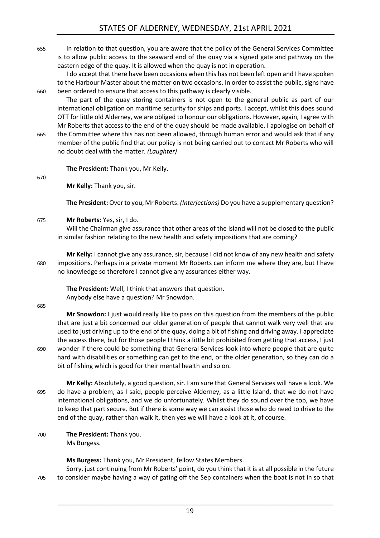655 In relation to that question, you are aware that the policy of the General Services Committee is to allow public access to the seaward end of the quay via a signed gate and pathway on the eastern edge of the quay. It is allowed when the quay is not in operation.

I do accept that there have been occasions when this has not been left open and I have spoken to the Harbour Master about the matter on two occasions. In order to assist the public, signs have 660 been ordered to ensure that access to this pathway is clearly visible.

The part of the quay storing containers is not open to the general public as part of our international obligation on maritime security for ships and ports. I accept, whilst this does sound OTT for little old Alderney, we are obliged to honour our obligations. However, again, I agree with Mr Roberts that access to the end of the quay should be made available. I apologise on behalf of

665 the Committee where this has not been allowed, through human error and would ask that if any member of the public find that our policy is not being carried out to contact Mr Roberts who will no doubt deal with the matter. *(Laughter)*

**The President:** Thank you, Mr Kelly.

670

**Mr Kelly:** Thank you, sir.

**The President:** Over to you, Mr Roberts. *(Interjections)* Do you have a supplementary question?

675 **Mr Roberts:** Yes, sir, I do.

Will the Chairman give assurance that other areas of the Island will not be closed to the public in similar fashion relating to the new health and safety impositions that are coming?

**Mr Kelly:** I cannot give any assurance, sir, because I did not know of any new health and safety 680 impositions. Perhaps in a private moment Mr Roberts can inform me where they are, but I have no knowledge so therefore I cannot give any assurances either way.

**The President:** Well, I think that answers that question. Anybody else have a question? Mr Snowdon.

685

**Mr Snowdon:** I just would really like to pass on this question from the members of the public that are just a bit concerned our older generation of people that cannot walk very well that are used to just driving up to the end of the quay, doing a bit of fishing and driving away. I appreciate the access there, but for those people I think a little bit prohibited from getting that access, I just 690 wonder if there could be something that General Services look into where people that are quite hard with disabilities or something can get to the end, or the older generation, so they can do a bit of fishing which is good for their mental health and so on.

**Mr Kelly:** Absolutely, a good question, sir. I am sure that General Services will have a look. We 695 do have a problem, as I said, people perceive Alderney, as a little Island, that we do not have international obligations, and we do unfortunately. Whilst they do sound over the top, we have to keep that part secure. But if there is some way we can assist those who do need to drive to the end of the quay, rather than walk it, then yes we will have a look at it, of course.

700 **The President:** Thank you. Ms Burgess.

**Ms Burgess:** Thank you, Mr President, fellow States Members.

Sorry, just continuing from Mr Roberts' point, do you think that it is at all possible in the future 705 to consider maybe having a way of gating off the Sep containers when the boat is not in so that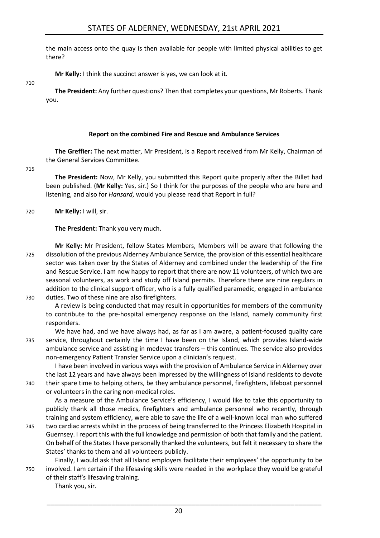the main access onto the quay is then available for people with limited physical abilities to get there?

**Mr Kelly:** I think the succinct answer is yes, we can look at it.

710

**The President:** Any further questions? Then that completes your questions, Mr Roberts. Thank you.

#### **Report on the combined Fire and Rescue and Ambulance Services**

<span id="page-19-0"></span>**The Greffier:** The next matter, Mr President, is a Report received from Mr Kelly, Chairman of the General Services Committee.

715

**The President:** Now, Mr Kelly, you submitted this Report quite properly after the Billet had been published. (**Mr Kelly:** Yes, sir.) So I think for the purposes of the people who are here and listening, and also for *Hansard*, would you please read that Report in full?

720 **Mr Kelly:** I will, sir.

**The President:** Thank you very much.

**Mr Kelly:** Mr President, fellow States Members, Members will be aware that following the 725 dissolution of the previous Alderney Ambulance Service, the provision of this essential healthcare sector was taken over by the States of Alderney and combined under the leadership of the Fire and Rescue Service. I am now happy to report that there are now 11 volunteers, of which two are seasonal volunteers, as work and study off Island permits. Therefore there are nine regulars in addition to the clinical support officer, who is a fully qualified paramedic, engaged in ambulance 730 duties. Two of these nine are also firefighters.

A review is being conducted that may result in opportunities for members of the community to contribute to the pre-hospital emergency response on the Island, namely community first responders.

We have had, and we have always had, as far as I am aware, a patient-focused quality care 735 service, throughout certainly the time I have been on the Island, which provides Island-wide ambulance service and assisting in medevac transfers – this continues. The service also provides non-emergency Patient Transfer Service upon a clinician's request.

I have been involved in various ways with the provision of Ambulance Service in Alderney over the last 12 years and have always been impressed by the willingness of Island residents to devote 740 their spare time to helping others, be they ambulance personnel, firefighters, lifeboat personnel or volunteers in the caring non-medical roles.

As a measure of the Ambulance Service's efficiency, I would like to take this opportunity to publicly thank all those medics, firefighters and ambulance personnel who recently, through training and system efficiency, were able to save the life of a well-known local man who suffered

745 two cardiac arrests whilst in the process of being transferred to the Princess Elizabeth Hospital in Guernsey. I report this with the full knowledge and permission of both that family and the patient. On behalf of the States I have personally thanked the volunteers, but felt it necessary to share the States' thanks to them and all volunteers publicly.

Finally, I would ask that all Island employers facilitate their employees' the opportunity to be 750 involved. I am certain if the lifesaving skills were needed in the workplace they would be grateful of their staff's lifesaving training.

Thank you, sir.